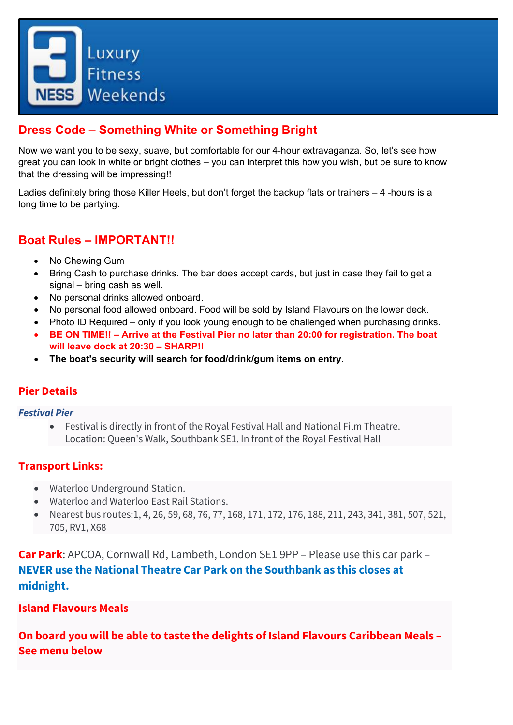

# **Dress Code – Something White or Something Bright**

Now we want you to be sexy, suave, but comfortable for our 4-hour extravaganza. So, let's see how great you can look in white or bright clothes – you can interpret this how you wish, but be sure to know that the dressing will be impressing!!

Ladies definitely bring those Killer Heels, but don't forget the backup flats or trainers – 4 -hours is a long time to be partying.

### **Boat Rules – IMPORTANT!!**

- No Chewing Gum
- Bring Cash to purchase drinks. The bar does accept cards, but just in case they fail to get a signal – bring cash as well.
- No personal drinks allowed onboard.
- No personal food allowed onboard. Food will be sold by Island Flavours on the lower deck.
- Photo ID Required only if you look young enough to be challenged when purchasing drinks.
- **BE ON TIME!! – Arrive at the Festival Pier no later than 20:00 for registration. The boat will leave dock at 20:30 – SHARP!!**
- **The boat's security will search for food/drink/gum items on entry.**

#### **Pier Details**

#### *Festival Pier*

• Festival is directly in front of the Royal Festival Hall and National Film Theatre. Location: Queen's Walk, Southbank SE1. In front of the Royal Festival Hall

### **Transport Links:**

- Waterloo Underground Station.
- Waterloo and Waterloo East Rail Stations.
- Nearest bus routes:1, 4, 26, 59, 68, 76, 77, 168, 171, 172, 176, 188, 211, 243, 341, 381, 507, 521, 705, RV1, X68

**Car Park**: APCOA, Cornwall Rd, Lambeth, London SE1 9PP – Please use this car park – **NEVER use the National Theatre Car Park on the Southbank as this closes at midnight.**

#### **Island Flavours Meals**

**On board you will be able to taste the delights of Island Flavours Caribbean Meals – See menu below**